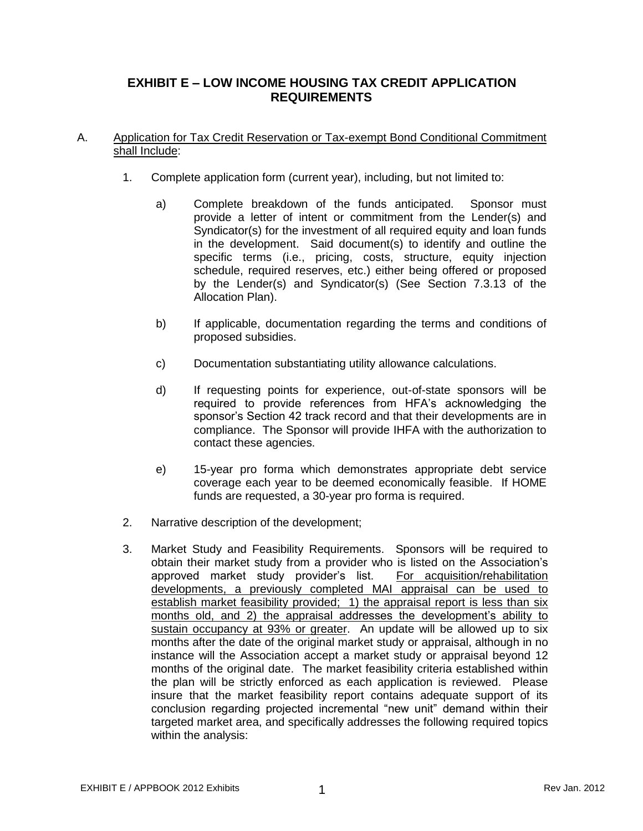# **EXHIBIT E – LOW INCOME HOUSING TAX CREDIT APPLICATION REQUIREMENTS**

## A. Application for Tax Credit Reservation or Tax-exempt Bond Conditional Commitment shall Include:

- 1. Complete application form (current year), including, but not limited to:
	- a) Complete breakdown of the funds anticipated. Sponsor must provide a letter of intent or commitment from the Lender(s) and Syndicator(s) for the investment of all required equity and loan funds in the development. Said document(s) to identify and outline the specific terms (i.e., pricing, costs, structure, equity injection schedule, required reserves, etc.) either being offered or proposed by the Lender(s) and Syndicator(s) (See Section 7.3.13 of the Allocation Plan).
	- b) If applicable, documentation regarding the terms and conditions of proposed subsidies.
	- c) Documentation substantiating utility allowance calculations.
	- d) If requesting points for experience, out-of-state sponsors will be required to provide references from HFA's acknowledging the sponsor's Section 42 track record and that their developments are in compliance. The Sponsor will provide IHFA with the authorization to contact these agencies.
	- e) 15-year pro forma which demonstrates appropriate debt service coverage each year to be deemed economically feasible. If HOME funds are requested, a 30-year pro forma is required.
- 2. Narrative description of the development;
- 3. Market Study and Feasibility Requirements. Sponsors will be required to obtain their market study from a provider who is listed on the Association's approved market study provider's list. For acquisition/rehabilitation developments, a previously completed MAI appraisal can be used to establish market feasibility provided; 1) the appraisal report is less than six months old, and 2) the appraisal addresses the development's ability to sustain occupancy at 93% or greater. An update will be allowed up to six months after the date of the original market study or appraisal, although in no instance will the Association accept a market study or appraisal beyond 12 months of the original date. The market feasibility criteria established within the plan will be strictly enforced as each application is reviewed. Please insure that the market feasibility report contains adequate support of its conclusion regarding projected incremental "new unit" demand within their targeted market area, and specifically addresses the following required topics within the analysis: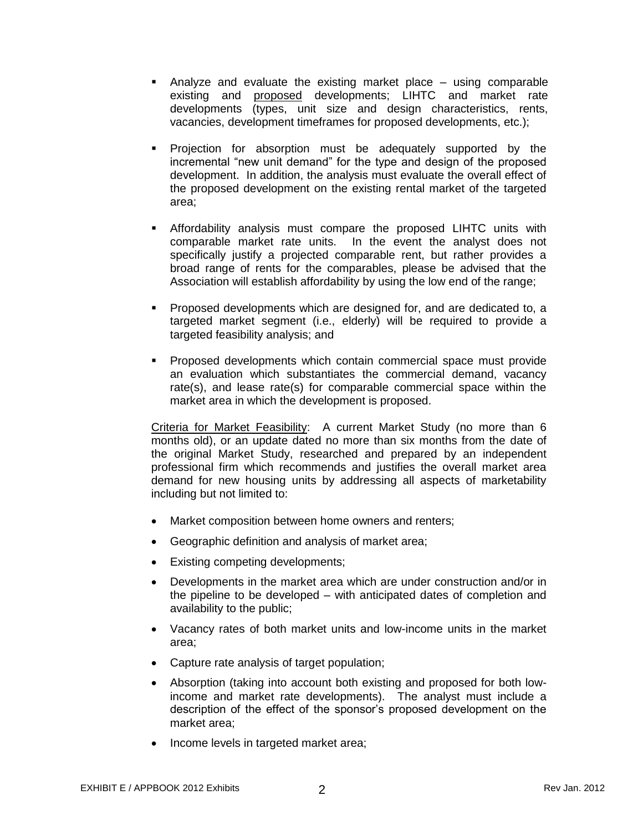- Analyze and evaluate the existing market place using comparable existing and proposed developments; LIHTC and market rate developments (types, unit size and design characteristics, rents, vacancies, development timeframes for proposed developments, etc.);
- Projection for absorption must be adequately supported by the incremental "new unit demand" for the type and design of the proposed development. In addition, the analysis must evaluate the overall effect of the proposed development on the existing rental market of the targeted area;
- Affordability analysis must compare the proposed LIHTC units with comparable market rate units. In the event the analyst does not specifically justify a projected comparable rent, but rather provides a broad range of rents for the comparables, please be advised that the Association will establish affordability by using the low end of the range;
- Proposed developments which are designed for, and are dedicated to, a targeted market segment (i.e., elderly) will be required to provide a targeted feasibility analysis; and
- Proposed developments which contain commercial space must provide an evaluation which substantiates the commercial demand, vacancy rate(s), and lease rate(s) for comparable commercial space within the market area in which the development is proposed.

Criteria for Market Feasibility: A current Market Study (no more than 6 months old), or an update dated no more than six months from the date of the original Market Study, researched and prepared by an independent professional firm which recommends and justifies the overall market area demand for new housing units by addressing all aspects of marketability including but not limited to:

- Market composition between home owners and renters:
- Geographic definition and analysis of market area;
- Existing competing developments;
- Developments in the market area which are under construction and/or in the pipeline to be developed – with anticipated dates of completion and availability to the public;
- Vacancy rates of both market units and low-income units in the market area;
- Capture rate analysis of target population;
- Absorption (taking into account both existing and proposed for both lowincome and market rate developments). The analyst must include a description of the effect of the sponsor's proposed development on the market area;
- Income levels in targeted market area;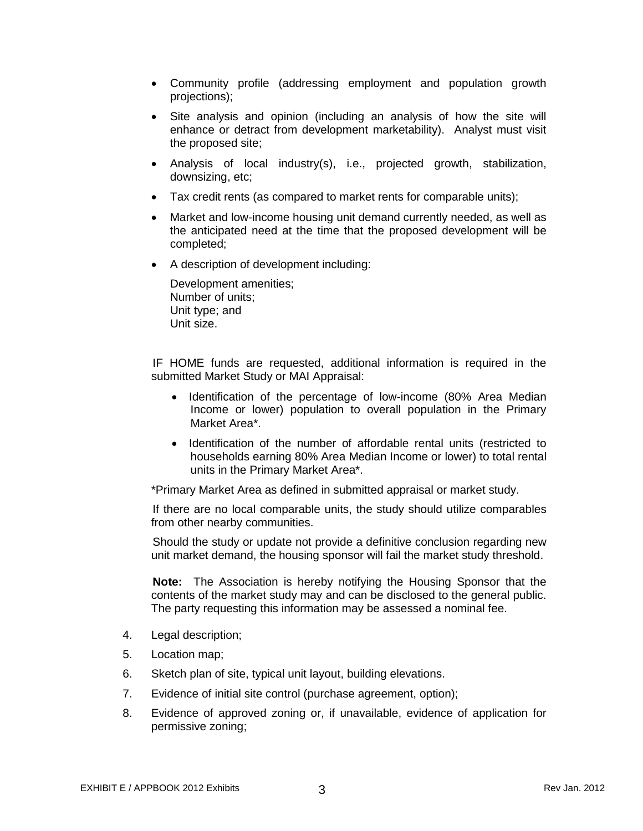- Community profile (addressing employment and population growth projections);
- Site analysis and opinion (including an analysis of how the site will enhance or detract from development marketability). Analyst must visit the proposed site;
- Analysis of local industry(s), i.e., projected growth, stabilization, downsizing, etc;
- Tax credit rents (as compared to market rents for comparable units);
- Market and low-income housing unit demand currently needed, as well as the anticipated need at the time that the proposed development will be completed;
- A description of development including:

Development amenities; Number of units; Unit type; and Unit size.

IF HOME funds are requested, additional information is required in the submitted Market Study or MAI Appraisal:

- Identification of the percentage of low-income (80% Area Median Income or lower) population to overall population in the Primary Market Area\*.
- Identification of the number of affordable rental units (restricted to households earning 80% Area Median Income or lower) to total rental units in the Primary Market Area\*.

\*Primary Market Area as defined in submitted appraisal or market study.

If there are no local comparable units, the study should utilize comparables from other nearby communities.

Should the study or update not provide a definitive conclusion regarding new unit market demand, the housing sponsor will fail the market study threshold.

**Note:** The Association is hereby notifying the Housing Sponsor that the contents of the market study may and can be disclosed to the general public. The party requesting this information may be assessed a nominal fee.

- 4. Legal description;
- 5. Location map;
- 6. Sketch plan of site, typical unit layout, building elevations.
- 7. Evidence of initial site control (purchase agreement, option);
- 8. Evidence of approved zoning or, if unavailable, evidence of application for permissive zoning;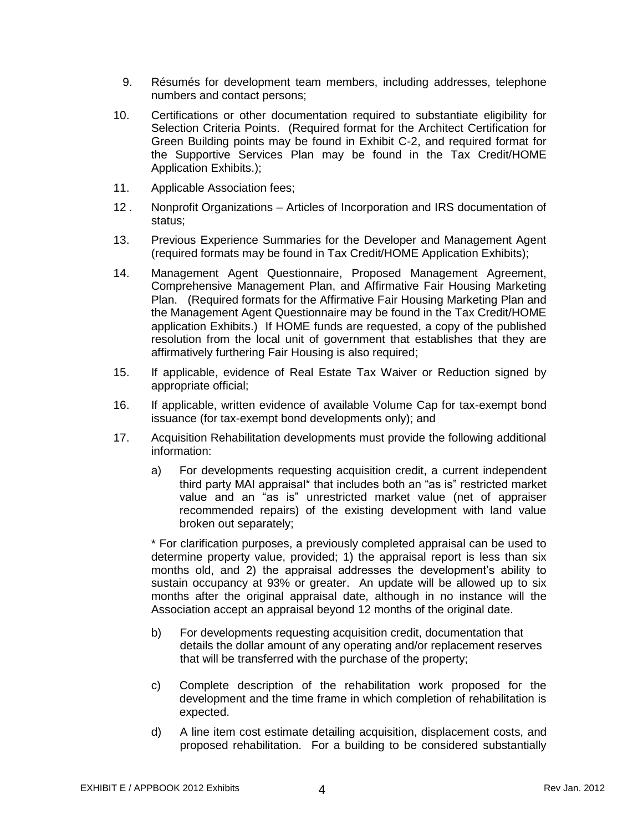- 9. Résumés for development team members, including addresses, telephone numbers and contact persons;
- 10. Certifications or other documentation required to substantiate eligibility for Selection Criteria Points. (Required format for the Architect Certification for Green Building points may be found in Exhibit C-2, and required format for the Supportive Services Plan may be found in the Tax Credit/HOME Application Exhibits.);
- 11. Applicable Association fees;
- 12 . Nonprofit Organizations Articles of Incorporation and IRS documentation of status;
- 13. Previous Experience Summaries for the Developer and Management Agent (required formats may be found in Tax Credit/HOME Application Exhibits);
- 14. Management Agent Questionnaire, Proposed Management Agreement, Comprehensive Management Plan, and Affirmative Fair Housing Marketing Plan. (Required formats for the Affirmative Fair Housing Marketing Plan and the Management Agent Questionnaire may be found in the Tax Credit/HOME application Exhibits.) If HOME funds are requested, a copy of the published resolution from the local unit of government that establishes that they are affirmatively furthering Fair Housing is also required;
- 15. If applicable, evidence of Real Estate Tax Waiver or Reduction signed by appropriate official;
- 16. If applicable, written evidence of available Volume Cap for tax-exempt bond issuance (for tax-exempt bond developments only); and
- 17. Acquisition Rehabilitation developments must provide the following additional information:
	- a) For developments requesting acquisition credit, a current independent third party MAI appraisal\* that includes both an "as is" restricted market value and an "as is" unrestricted market value (net of appraiser recommended repairs) of the existing development with land value broken out separately;

\* For clarification purposes, a previously completed appraisal can be used to determine property value, provided; 1) the appraisal report is less than six months old, and 2) the appraisal addresses the development's ability to sustain occupancy at 93% or greater. An update will be allowed up to six months after the original appraisal date, although in no instance will the Association accept an appraisal beyond 12 months of the original date.

- b) For developments requesting acquisition credit, documentation that details the dollar amount of any operating and/or replacement reserves that will be transferred with the purchase of the property;
- c) Complete description of the rehabilitation work proposed for the development and the time frame in which completion of rehabilitation is expected.
- d) A line item cost estimate detailing acquisition, displacement costs, and proposed rehabilitation. For a building to be considered substantially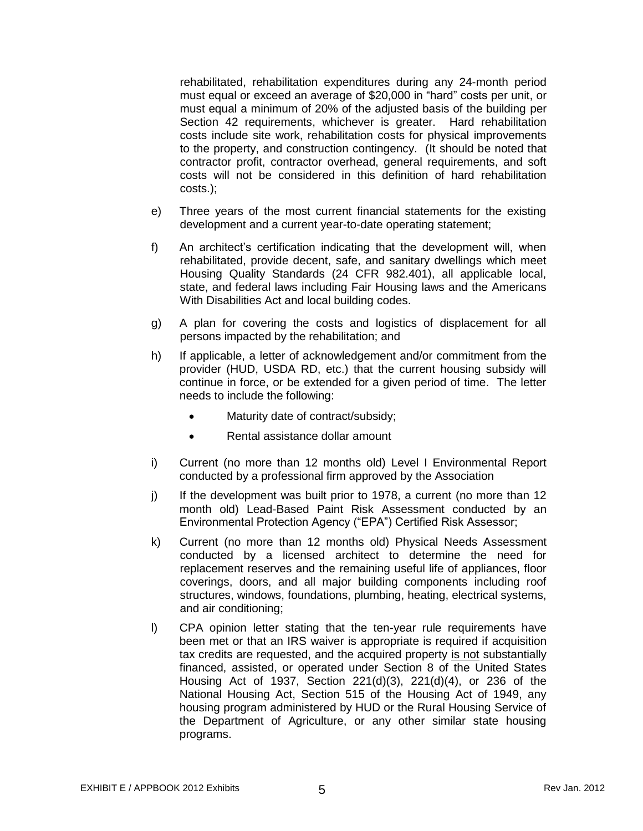rehabilitated, rehabilitation expenditures during any 24-month period must equal or exceed an average of \$20,000 in "hard" costs per unit, or must equal a minimum of 20% of the adjusted basis of the building per Section 42 requirements, whichever is greater. Hard rehabilitation costs include site work, rehabilitation costs for physical improvements to the property, and construction contingency. (It should be noted that contractor profit, contractor overhead, general requirements, and soft costs will not be considered in this definition of hard rehabilitation costs.);

- e) Three years of the most current financial statements for the existing development and a current year-to-date operating statement;
- f) An architect's certification indicating that the development will, when rehabilitated, provide decent, safe, and sanitary dwellings which meet Housing Quality Standards (24 CFR 982.401), all applicable local, state, and federal laws including Fair Housing laws and the Americans With Disabilities Act and local building codes.
- g) A plan for covering the costs and logistics of displacement for all persons impacted by the rehabilitation; and
- h) If applicable, a letter of acknowledgement and/or commitment from the provider (HUD, USDA RD, etc.) that the current housing subsidy will continue in force, or be extended for a given period of time. The letter needs to include the following:
	- Maturity date of contract/subsidy;
	- Rental assistance dollar amount
- i) Current (no more than 12 months old) Level I Environmental Report conducted by a professional firm approved by the Association
- j) If the development was built prior to 1978, a current (no more than 12 month old) Lead-Based Paint Risk Assessment conducted by an Environmental Protection Agency ("EPA") Certified Risk Assessor;
- k) Current (no more than 12 months old) Physical Needs Assessment conducted by a licensed architect to determine the need for replacement reserves and the remaining useful life of appliances, floor coverings, doors, and all major building components including roof structures, windows, foundations, plumbing, heating, electrical systems, and air conditioning;
- l) CPA opinion letter stating that the ten-year rule requirements have been met or that an IRS waiver is appropriate is required if acquisition tax credits are requested, and the acquired property is not substantially financed, assisted, or operated under Section 8 of the United States Housing Act of 1937, Section 221(d)(3), 221(d)(4), or 236 of the National Housing Act, Section 515 of the Housing Act of 1949, any housing program administered by HUD or the Rural Housing Service of the Department of Agriculture, or any other similar state housing programs.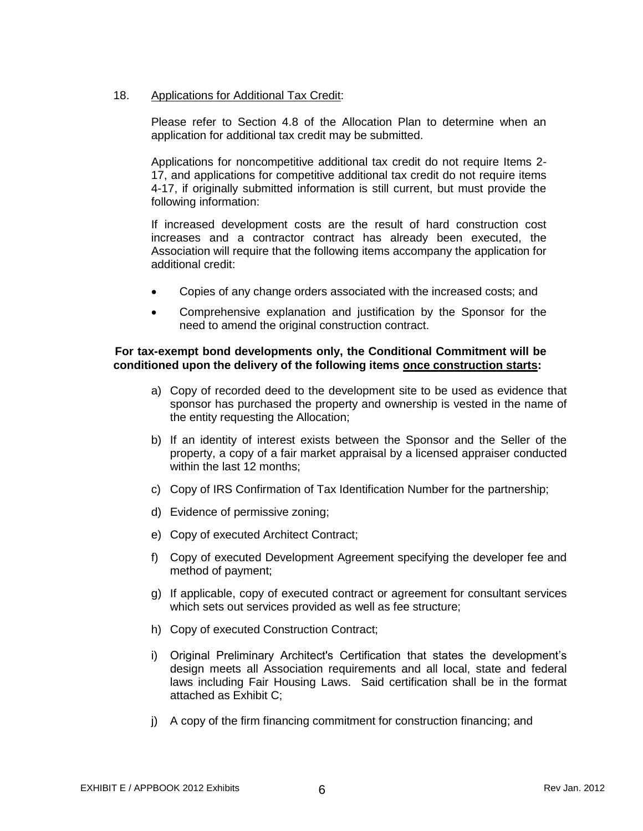## 18. Applications for Additional Tax Credit:

Please refer to Section 4.8 of the Allocation Plan to determine when an application for additional tax credit may be submitted.

Applications for noncompetitive additional tax credit do not require Items 2- 17, and applications for competitive additional tax credit do not require items 4-17, if originally submitted information is still current, but must provide the following information:

If increased development costs are the result of hard construction cost increases and a contractor contract has already been executed, the Association will require that the following items accompany the application for additional credit:

- Copies of any change orders associated with the increased costs; and
- Comprehensive explanation and justification by the Sponsor for the need to amend the original construction contract.

#### **For tax-exempt bond developments only, the Conditional Commitment will be conditioned upon the delivery of the following items once construction starts:**

- a) Copy of recorded deed to the development site to be used as evidence that sponsor has purchased the property and ownership is vested in the name of the entity requesting the Allocation;
- b) If an identity of interest exists between the Sponsor and the Seller of the property, a copy of a fair market appraisal by a licensed appraiser conducted within the last 12 months;
- c) Copy of IRS Confirmation of Tax Identification Number for the partnership;
- d) Evidence of permissive zoning;
- e) Copy of executed Architect Contract;
- f) Copy of executed Development Agreement specifying the developer fee and method of payment;
- g) If applicable, copy of executed contract or agreement for consultant services which sets out services provided as well as fee structure;
- h) Copy of executed Construction Contract;
- i) Original Preliminary Architect's Certification that states the development's design meets all Association requirements and all local, state and federal laws including Fair Housing Laws. Said certification shall be in the format attached as Exhibit C;
- j) A copy of the firm financing commitment for construction financing; and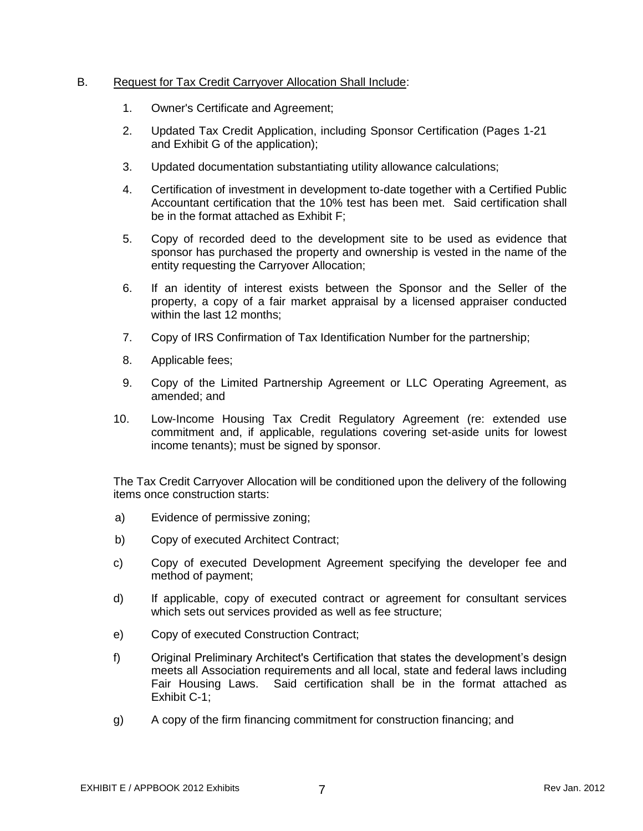#### B. Request for Tax Credit Carryover Allocation Shall Include:

- 1. Owner's Certificate and Agreement;
- 2. Updated Tax Credit Application, including Sponsor Certification (Pages 1-21 and Exhibit G of the application);
- 3. Updated documentation substantiating utility allowance calculations;
- 4. Certification of investment in development to-date together with a Certified Public Accountant certification that the 10% test has been met. Said certification shall be in the format attached as Exhibit F;
- 5. Copy of recorded deed to the development site to be used as evidence that sponsor has purchased the property and ownership is vested in the name of the entity requesting the Carryover Allocation;
- 6. If an identity of interest exists between the Sponsor and the Seller of the property, a copy of a fair market appraisal by a licensed appraiser conducted within the last 12 months;
- 7. Copy of IRS Confirmation of Tax Identification Number for the partnership;
- 8. Applicable fees;
- 9. Copy of the Limited Partnership Agreement or LLC Operating Agreement, as amended; and
- 10. Low-Income Housing Tax Credit Regulatory Agreement (re: extended use commitment and, if applicable, regulations covering set-aside units for lowest income tenants); must be signed by sponsor.

The Tax Credit Carryover Allocation will be conditioned upon the delivery of the following items once construction starts:

- a) Evidence of permissive zoning;
- b) Copy of executed Architect Contract;
- c) Copy of executed Development Agreement specifying the developer fee and method of payment;
- d) If applicable, copy of executed contract or agreement for consultant services which sets out services provided as well as fee structure;
- e) Copy of executed Construction Contract;
- f) Original Preliminary Architect's Certification that states the development's design meets all Association requirements and all local, state and federal laws including Fair Housing Laws. Said certification shall be in the format attached as Exhibit C-1;
- g) A copy of the firm financing commitment for construction financing; and